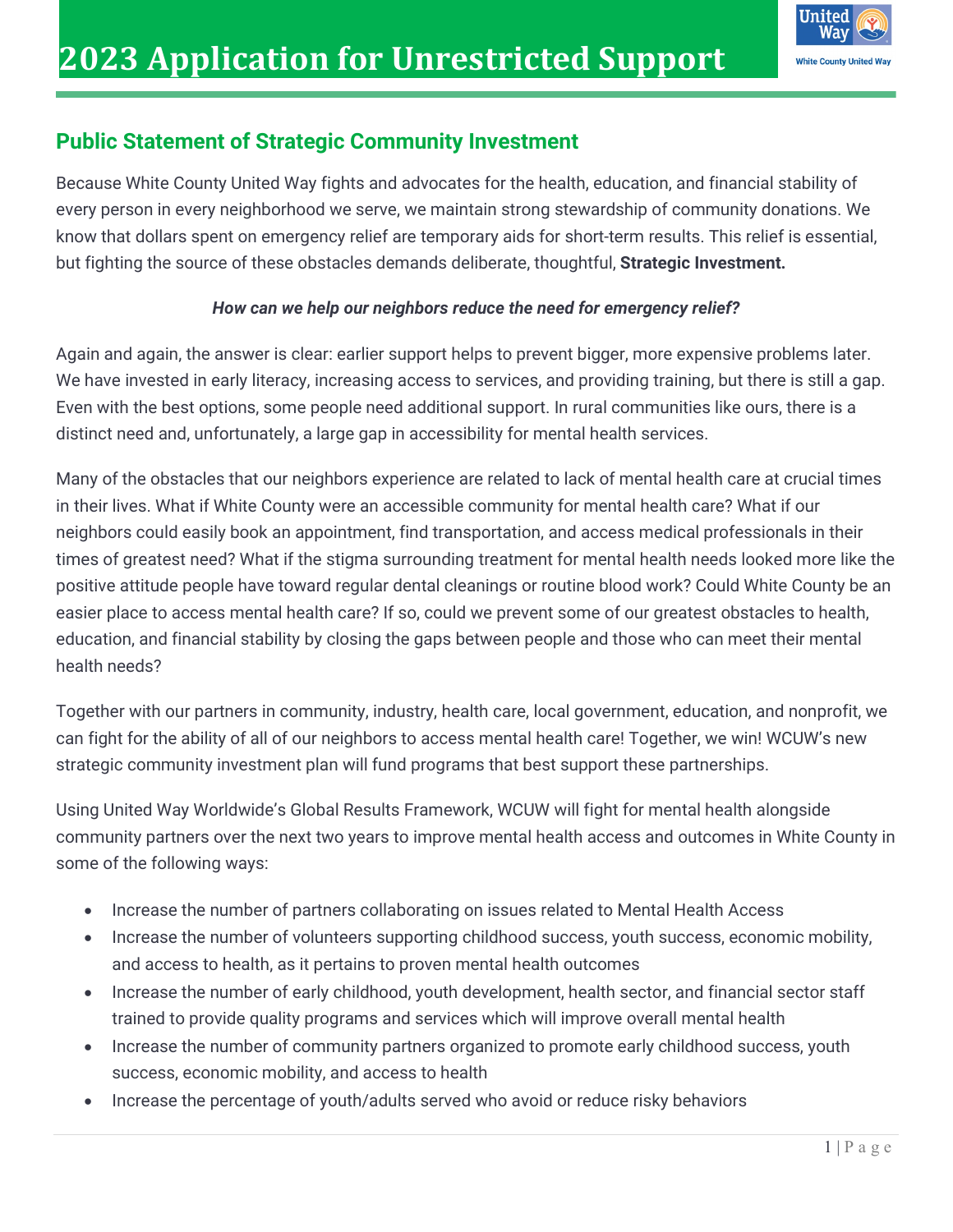

#### **Public Statement of Strategic Community Investment**

Because White County United Way fights and advocates for the health, education, and financial stability of every person in every neighborhood we serve, we maintain strong stewardship of community donations. We know that dollars spent on emergency relief are temporary aids for short-term results. This relief is essential, but fighting the source of these obstacles demands deliberate, thoughtful, **Strategic Investment.**

#### *How can we help our neighbors reduce the need for emergency relief?*

Again and again, the answer is clear: earlier support helps to prevent bigger, more expensive problems later. We have invested in early literacy, increasing access to services, and providing training, but there is still a gap. Even with the best options, some people need additional support. In rural communities like ours, there is a distinct need and, unfortunately, a large gap in accessibility for mental health services.

Many of the obstacles that our neighbors experience are related to lack of mental health care at crucial times in their lives. What if White County were an accessible community for mental health care? What if our neighbors could easily book an appointment, find transportation, and access medical professionals in their times of greatest need? What if the stigma surrounding treatment for mental health needs looked more like the positive attitude people have toward regular dental cleanings or routine blood work? Could White County be an easier place to access mental health care? If so, could we prevent some of our greatest obstacles to health, education, and financial stability by closing the gaps between people and those who can meet their mental health needs?

Together with our partners in community, industry, health care, local government, education, and nonprofit, we can fight for the ability of all of our neighbors to access mental health care! Together, we win! WCUW's new strategic community investment plan will fund programs that best support these partnerships.

Using United Way Worldwide's Global Results Framework, WCUW will fight for mental health alongside community partners over the next two years to improve mental health access and outcomes in White County in some of the following ways:

- Increase the number of partners collaborating on issues related to Mental Health Access
- Increase the number of volunteers supporting childhood success, youth success, economic mobility, and access to health, as it pertains to proven mental health outcomes
- Increase the number of early childhood, youth development, health sector, and financial sector staff trained to provide quality programs and services which will improve overall mental health
- Increase the number of community partners organized to promote early childhood success, youth success, economic mobility, and access to health
- Increase the percentage of youth/adults served who avoid or reduce risky behaviors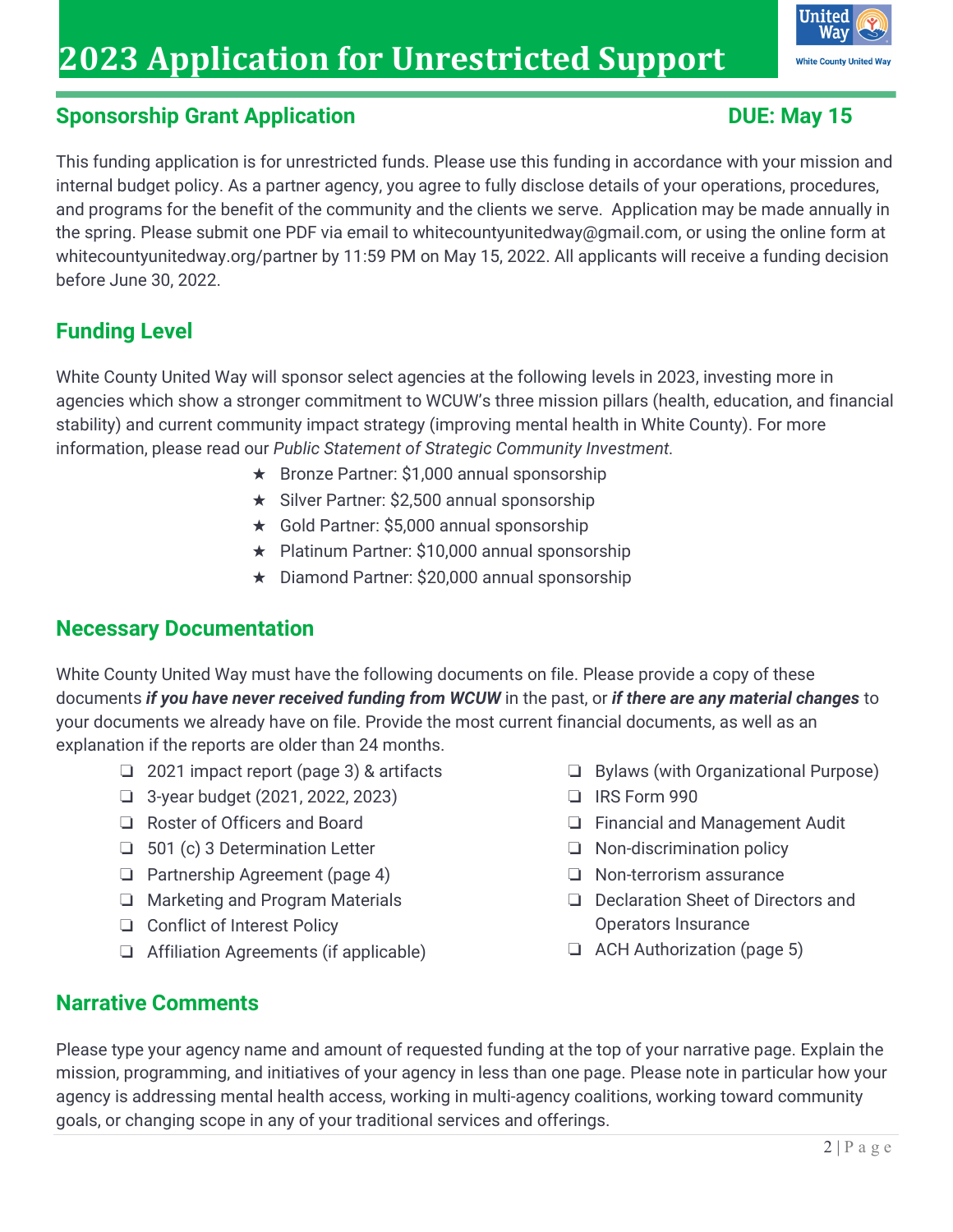

#### **Sponsorship Grant Application DUE: May 15**

This funding application is for unrestricted funds. Please use this funding in accordance with your mission and internal budget policy. As a partner agency, you agree to fully disclose details of your operations, procedures, and programs for the benefit of the community and the clients we serve. Application may be made annually in the spring. Please submit one PDF via email to whitecountyunitedway@gmail.com, or using the online form at whitecountyunitedway.org/partner by 11:59 PM on May 15, 2022. All applicants will receive a funding decision before June 30, 2022.

## **Funding Level**

White County United Way will sponsor select agencies at the following levels in 2023, investing more in agencies which show a stronger commitment to WCUW's three mission pillars (health, education, and financial stability) and current community impact strategy (improving mental health in White County). For more information, please read our *Public Statement of Strategic Community Investment.* 

- ★ Bronze Partner: \$1,000 annual sponsorship
- ★ Silver Partner: \$2,500 annual sponsorship
- ★ Gold Partner: \$5,000 annual sponsorship
- ★ Platinum Partner: \$10,000 annual sponsorship
- ★ Diamond Partner: \$20,000 annual sponsorship

#### **Necessary Documentation**

White County United Way must have the following documents on file. Please provide a copy of these documents *if you have never received funding from WCUW* in the past, or *if there are any material changes* to your documents we already have on file. Provide the most current financial documents, as well as an explanation if the reports are older than 24 months.

- ❏ 2021 impact report (page 3) & artifacts
- ❏ 3-year budget (2021, 2022, 2023)
- ❏ Roster of Officers and Board
- ❏ 501 (c) 3 Determination Letter
- ❏ Partnership Agreement (page 4)
- ❏ Marketing and Program Materials
- ❏ Conflict of Interest Policy
- ❏ Affiliation Agreements (if applicable)
- ❏ Bylaws (with Organizational Purpose)
- ❏ IRS Form 990
- ❏ Financial and Management Audit
- ❏ Non-discrimination policy
- ❏ Non-terrorism assurance
- ❏ Declaration Sheet of Directors and Operators Insurance
- ❏ ACH Authorization (page 5)

#### **Narrative Comments**

Please type your agency name and amount of requested funding at the top of your narrative page. Explain the mission, programming, and initiatives of your agency in less than one page. Please note in particular how your agency is addressing mental health access, working in multi-agency coalitions, working toward community goals, or changing scope in any of your traditional services and offerings.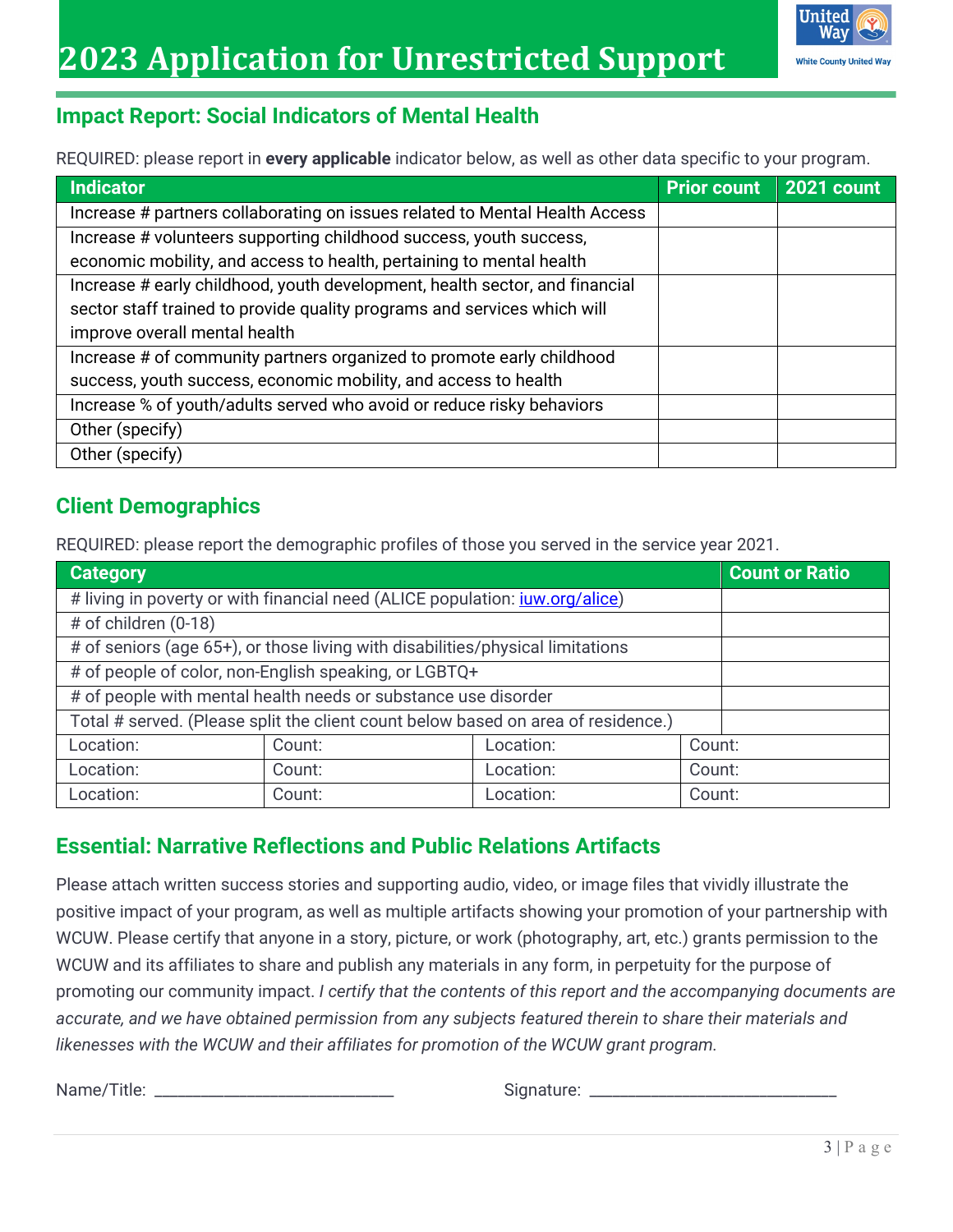#### **Impact Report: Social Indicators of Mental Health**

REQUIRED: please report in **every applicable** indicator below, as well as other data specific to your program.

| Indicator                                                                   | <b>Prior count</b> | <b>2021 count</b> |
|-----------------------------------------------------------------------------|--------------------|-------------------|
| Increase # partners collaborating on issues related to Mental Health Access |                    |                   |
| Increase # volunteers supporting childhood success, youth success,          |                    |                   |
| economic mobility, and access to health, pertaining to mental health        |                    |                   |
| Increase # early childhood, youth development, health sector, and financial |                    |                   |
| sector staff trained to provide quality programs and services which will    |                    |                   |
| improve overall mental health                                               |                    |                   |
| Increase # of community partners organized to promote early childhood       |                    |                   |
| success, youth success, economic mobility, and access to health             |                    |                   |
| Increase % of youth/adults served who avoid or reduce risky behaviors       |                    |                   |
| Other (specify)                                                             |                    |                   |
| Other (specify)                                                             |                    |                   |

#### **Client Demographics**

REQUIRED: please report the demographic profiles of those you served in the service year 2021.

| Category                                                                            | <b>Count or Ratio</b> |           |        |  |
|-------------------------------------------------------------------------------------|-----------------------|-----------|--------|--|
| # living in poverty or with financial need (ALICE population: <i>juw.org/alice)</i> |                       |           |        |  |
| # of children (0-18)                                                                |                       |           |        |  |
| # of seniors (age 65+), or those living with disabilities/physical limitations      |                       |           |        |  |
| # of people of color, non-English speaking, or LGBTQ+                               |                       |           |        |  |
| # of people with mental health needs or substance use disorder                      |                       |           |        |  |
| Total # served. (Please split the client count below based on area of residence.)   |                       |           |        |  |
| Location:                                                                           | Count:                | Location: | Count: |  |
| Location:                                                                           | Count:                | Location: | Count: |  |
| Location:                                                                           | Count:                | Location: | Count: |  |

#### **Essential: Narrative Reflections and Public Relations Artifacts**

Please attach written success stories and supporting audio, video, or image files that vividly illustrate the positive impact of your program, as well as multiple artifacts showing your promotion of your partnership with WCUW. Please certify that anyone in a story, picture, or work (photography, art, etc.) grants permission to the WCUW and its affiliates to share and publish any materials in any form, in perpetuity for the purpose of promoting our community impact. *I certify that the contents of this report and the accompanying documents are accurate, and we have obtained permission from any subjects featured therein to share their materials and likenesses with the WCUW and their affiliates for promotion of the WCUW grant program.* 

Name/Title: \_\_\_\_\_\_\_\_\_\_\_\_\_\_\_\_\_\_\_\_\_\_\_\_\_\_\_\_\_\_\_ Signature: \_\_\_\_\_\_\_\_\_\_\_\_\_\_\_\_\_\_\_\_\_\_\_\_\_\_\_\_\_\_\_\_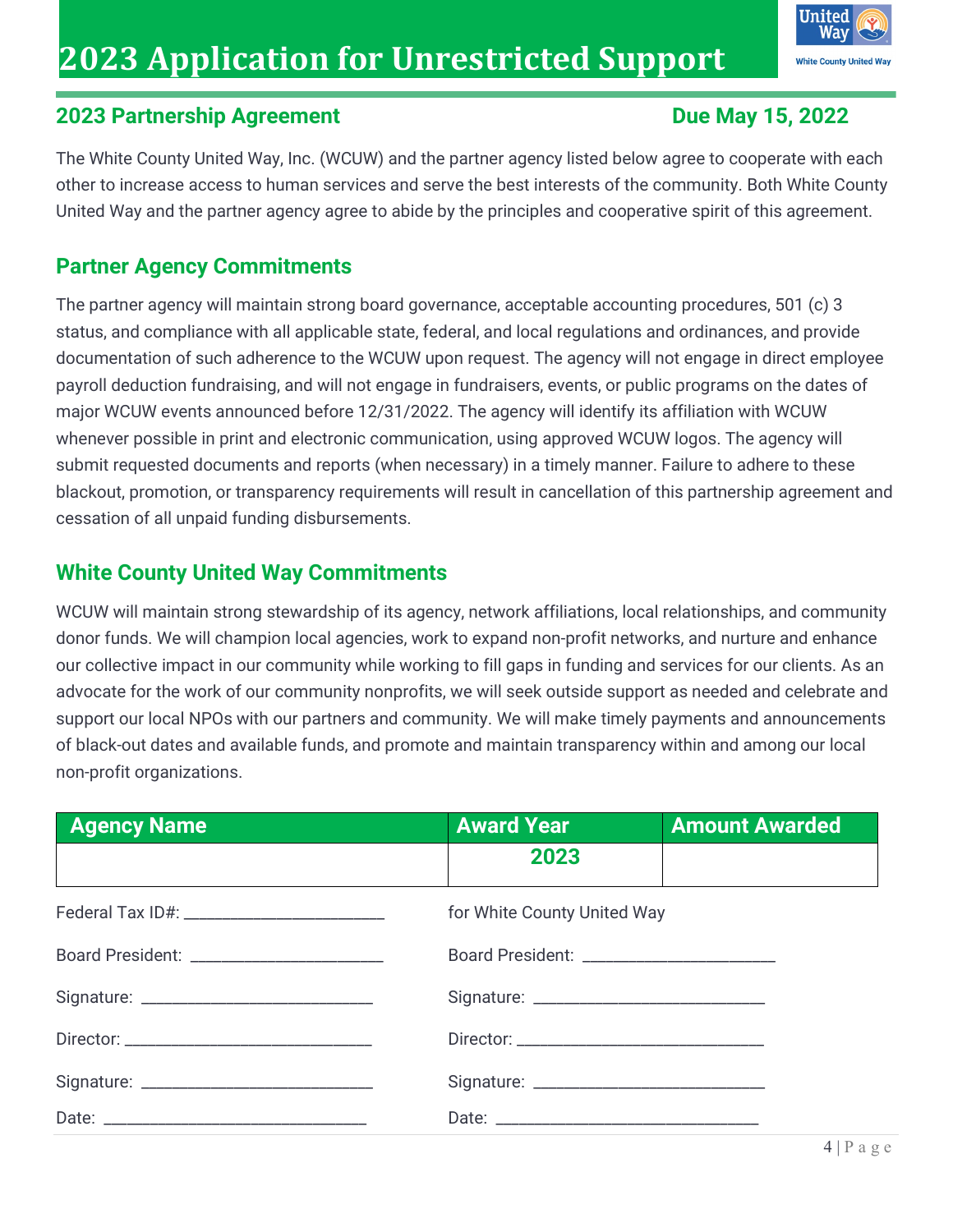# **2023 Application for Unrestricted Support**



#### **2023 Partnership Agreement Due May 15, 2022**

The White County United Way, Inc. (WCUW) and the partner agency listed below agree to cooperate with each other to increase access to human services and serve the best interests of the community. Both White County United Way and the partner agency agree to abide by the principles and cooperative spirit of this agreement.

### **Partner Agency Commitments**

The partner agency will maintain strong board governance, acceptable accounting procedures, 501 (c) 3 status, and compliance with all applicable state, federal, and local regulations and ordinances, and provide documentation of such adherence to the WCUW upon request. The agency will not engage in direct employee payroll deduction fundraising, and will not engage in fundraisers, events, or public programs on the dates of major WCUW events announced before 12/31/2022. The agency will identify its affiliation with WCUW whenever possible in print and electronic communication, using approved WCUW logos. The agency will submit requested documents and reports (when necessary) in a timely manner. Failure to adhere to these blackout, promotion, or transparency requirements will result in cancellation of this partnership agreement and cessation of all unpaid funding disbursements.

#### **White County United Way Commitments**

WCUW will maintain strong stewardship of its agency, network affiliations, local relationships, and community donor funds. We will champion local agencies, work to expand non-profit networks, and nurture and enhance our collective impact in our community while working to fill gaps in funding and services for our clients. As an advocate for the work of our community nonprofits, we will seek outside support as needed and celebrate and support our local NPOs with our partners and community. We will make timely payments and announcements of black-out dates and available funds, and promote and maintain transparency within and among our local non-profit organizations.

| <b>Agency Name</b>                        | <b>Award Year</b>                          | <b>Amount Awarded</b> |
|-------------------------------------------|--------------------------------------------|-----------------------|
|                                           | 2023                                       |                       |
|                                           | for White County United Way                |                       |
| Board President: ________________________ | Board President: _________________________ |                       |
|                                           |                                            |                       |
|                                           |                                            |                       |
|                                           |                                            |                       |
|                                           |                                            |                       |